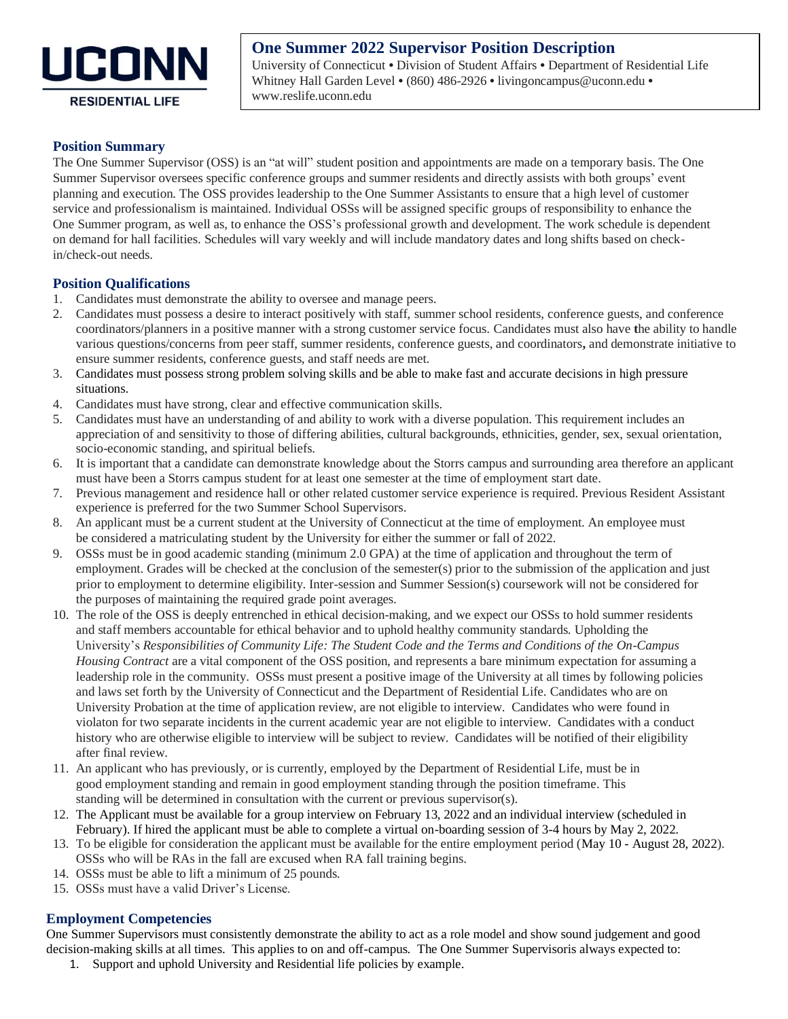

# **One Summer 2022 Supervisor Position Description**

University of Connecticut • Division of Student Affairs • Department of Residential Life Whitney Hall Garden Level • (860) 486-2926 • [livingoncampus@uconn.edu](http://reslife.uconn.edu/contact_us.html) • [www.reslife.uconn.edu](http://reslife.uconn.edu/index.php)

# **RESIDENTIAL LIFE**

### **Position Summary**

The One Summer Supervisor (OSS) is an "at will" student position and appointments are made on a temporary basis. The One Summer Supervisor oversees specific conference groups and summer residents and directly assists with both groups' event planning and execution. The OSS provides leadership to the One Summer Assistants to ensure that a high level of customer service and professionalism is maintained. Individual OSSs will be assigned specific groups of responsibility to enhance the One Summer program, as well as, to enhance the OSS's professional growth and development. The work schedule is dependent on demand for hall facilities. Schedules will vary weekly and will include mandatory dates and long shifts based on checkin/check-out needs.

# **Position Qualifications**

- 1. Candidates must demonstrate the ability to oversee and manage peers.
- 2. Candidates must possess a desire to interact positively with staff, summer school residents, conference guests, and conference coordinators/planners in a positive manner with a strong customer service focus. Candidates must also have **t**he ability to handle various questions/concerns from peer staff, summer residents, conference guests, and coordinators**,** and demonstrate initiative to ensure summer residents, conference guests, and staff needs are met.
- 3. Candidates must possess strong problem solving skills and be able to make fast and accurate decisions in high pressure situations.
- 4. Candidates must have strong, clear and effective communication skills.
- 5. Candidates must have an understanding of and ability to work with a diverse population. This requirement includes an appreciation of and sensitivity to those of differing abilities, cultural backgrounds, ethnicities, gender, sex, sexual orientation, socio-economic standing, and spiritual beliefs.
- 6. It is important that a candidate can demonstrate knowledge about the Storrs campus and surrounding area therefore an applicant must have been a Storrs campus student for at least one semester at the time of employment start date.
- 7. Previous management and residence hall or other related customer service experience is required. Previous Resident Assistant experience is preferred for the two Summer School Supervisors.
- 8. An applicant must be a current student at the University of Connecticut at the time of employment. An employee must be considered a matriculating student by the University for either the summer or fall of 2022.
- 9. OSSs must be in good academic standing (minimum 2.0 GPA) at the time of application and throughout the term of employment. Grades will be checked at the conclusion of the semester(s) prior to the submission of the application and just prior to employment to determine eligibility. Inter-session and Summer Session(s) coursework will not be considered for the purposes of maintaining the required grade point averages.
- 10. The role of the OSS is deeply entrenched in ethical decision-making, and we expect our OSSs to hold summer residents and staff members accountable for ethical behavior and to uphold healthy community standards. Upholding the University's *Responsibilities of Community Life: The Student Code and the Terms and Conditions of the On-Campus Housing Contract* are a vital component of the OSS position, and represents a bare minimum expectation for assuming a leadership role in the community. OSSs must present a positive image of the University at all times by following policies and laws set forth by the University of Connecticut and the Department of Residential Life. Candidates who are on University Probation at the time of application review, are not eligible to interview. Candidates who were found in violaton for two separate incidents in the current academic year are not eligible to interview. Candidates with a conduct history who are otherwise eligible to interview will be subject to review. Candidates will be notified of their eligibility after final review.
- 11. An applicant who has previously, or is currently, employed by the Department of Residential Life, must be in good employment standing and remain in good employment standing through the position timeframe. This standing will be determined in consultation with the current or previous supervisor(s).
- 12. The Applicant must be available for a group interview on February 13, 2022 and an individual interview (scheduled in February). If hired the applicant must be able to complete a virtual on-boarding session of 3-4 hours by May 2, 2022.
- 13. To be eligible for consideration the applicant must be available for the entire employment period (May 10 August 28, 2022). OSSs who will be RAs in the fall are excused when RA fall training begins.
- 14. OSSs must be able to lift a minimum of 25 pounds.
- 15. OSSs must have a valid Driver's License.

#### **Employment Competencies**

One Summer Supervisors must consistently demonstrate the ability to act as a role model and show sound judgement and good decision-making skills at all times. This applies to on and off-campus. The One Summer Supervisoris always expected to:

1. Support and uphold University and Residential life policies by example.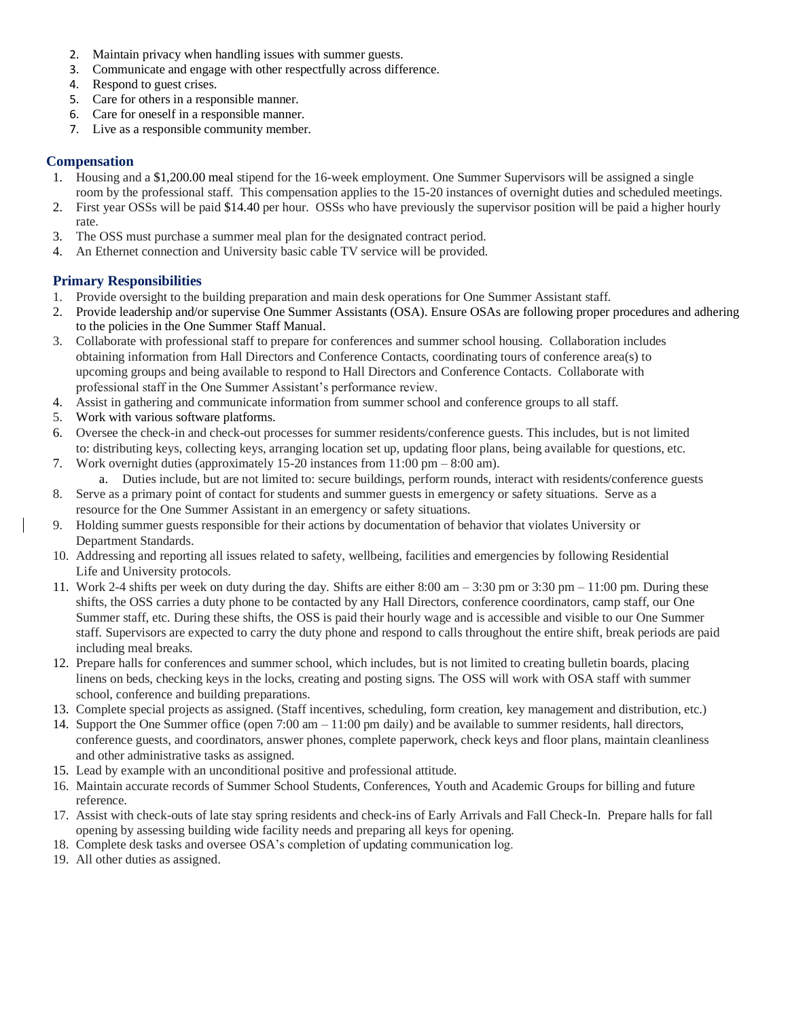- 2. Maintain privacy when handling issues with summer guests.
- 3. Communicate and engage with other respectfully across difference.
- 4. Respond to guest crises.
- 5. Care for others in a responsible manner.
- 6. Care for oneself in a responsible manner.
- 7. Live as a responsible community member.

## **Compensation**

- 1. Housing and a \$1,200.00 meal stipend for the 16-week employment. One Summer Supervisors will be assigned a single room by the professional staff. This compensation applies to the 15-20 instances of overnight duties and scheduled meetings.
- 2. First year OSSs will be paid \$14.40 per hour. OSSs who have previously the supervisor position will be paid a higher hourly rate.
- 3. The OSS must purchase a summer meal plan for the designated contract period.
- 4. An Ethernet connection and University basic cable TV service will be provided.

# **Primary Responsibilities**

- 1. Provide oversight to the building preparation and main desk operations for One Summer Assistant staff.
- 2. Provide leadership and/or supervise One Summer Assistants (OSA). Ensure OSAs are following proper procedures and adhering to the policies in the One Summer Staff Manual.
- 3. Collaborate with professional staff to prepare for conferences and summer school housing. Collaboration includes obtaining information from Hall Directors and Conference Contacts, coordinating tours of conference area(s) to upcoming groups and being available to respond to Hall Directors and Conference Contacts. Collaborate with professional staff in the One Summer Assistant's performance review.
- 4. Assist in gathering and communicate information from summer school and conference groups to all staff.
- 5. Work with various software platforms.
- 6. Oversee the check-in and check-out processes for summer residents/conference guests. This includes, but is not limited to: distributing keys, collecting keys, arranging location set up, updating floor plans, being available for questions, etc.
- 7. Work overnight duties (approximately 15-20 instances from  $11:00 \text{ pm} 8:00 \text{ am}$ ). a. Duties include, but are not limited to: secure buildings, perform rounds, interact with residents/conference guests
- 8. Serve as a primary point of contact for students and summer guests in emergency or safety situations. Serve as a resource for the One Summer Assistant in an emergency or safety situations.
- 9. Holding summer guests responsible for their actions by documentation of behavior that violates University or Department Standards.
- 10. Addressing and reporting all issues related to safety, wellbeing, facilities and emergencies by following Residential Life and University protocols.
- 11. Work 2-4 shifts per week on duty during the day. Shifts are either 8:00 am 3:30 pm or 3:30 pm 11:00 pm. During these shifts, the OSS carries a duty phone to be contacted by any Hall Directors, conference coordinators, camp staff, our One Summer staff, etc. During these shifts, the OSS is paid their hourly wage and is accessible and visible to our One Summer staff. Supervisors are expected to carry the duty phone and respond to calls throughout the entire shift, break periods are paid including meal breaks.
- 12. Prepare halls for conferences and summer school, which includes, but is not limited to creating bulletin boards, placing linens on beds, checking keys in the locks, creating and posting signs. The OSS will work with OSA staff with summer school, conference and building preparations.
- 13. Complete special projects as assigned. (Staff incentives, scheduling, form creation, key management and distribution, etc.)
- 14. Support the One Summer office (open 7:00 am 11:00 pm daily) and be available to summer residents, hall directors, conference guests, and coordinators, answer phones, complete paperwork, check keys and floor plans, maintain cleanliness and other administrative tasks as assigned.
- 15. Lead by example with an unconditional positive and professional attitude.
- 16. Maintain accurate records of Summer School Students, Conferences, Youth and Academic Groups for billing and future reference.
- 17. Assist with check-outs of late stay spring residents and check-ins of Early Arrivals and Fall Check-In. Prepare halls for fall opening by assessing building wide facility needs and preparing all keys for opening.
- 18. Complete desk tasks and oversee OSA's completion of updating communication log.
- 19. All other duties as assigned.